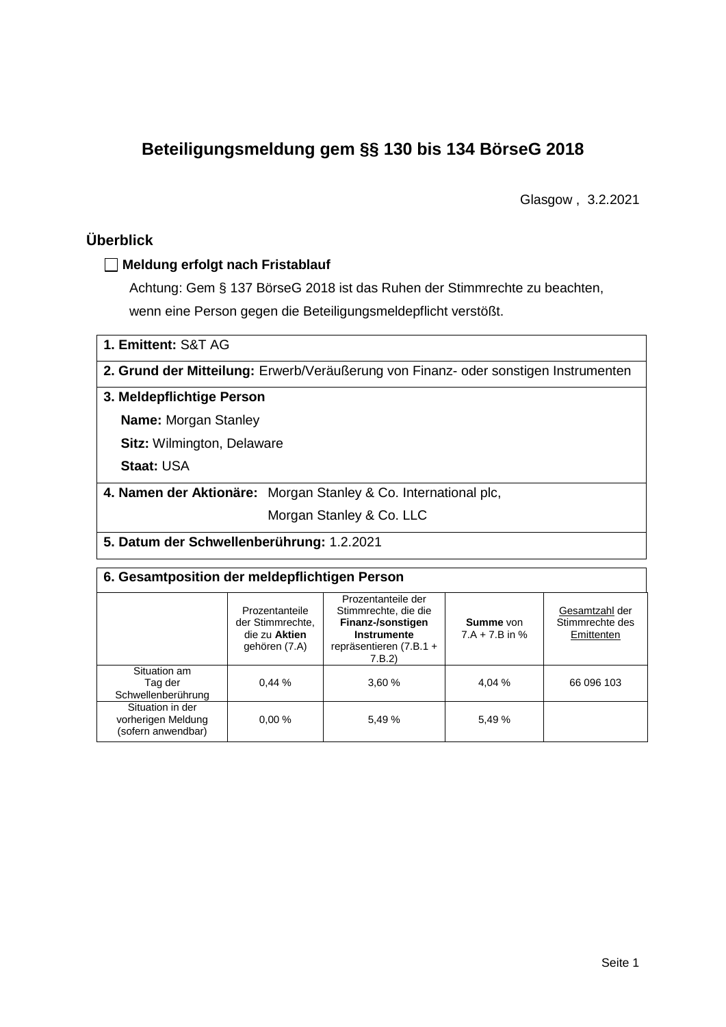# **Beteiligungsmeldung gem §§ 130 bis 134 BörseG 2018**

Glasgow , 3.2.2021

# **Überblick**

### **Meldung erfolgt nach Fristablauf**

Achtung: Gem § 137 BörseG 2018 ist das Ruhen der Stimmrechte zu beachten, wenn eine Person gegen die Beteiligungsmeldepflicht verstößt.

| 1. Emittent: S&T AG                                                                 |                                                                 |  |  |  |  |
|-------------------------------------------------------------------------------------|-----------------------------------------------------------------|--|--|--|--|
| 2. Grund der Mitteilung: Erwerb/Veräußerung von Finanz- oder sonstigen Instrumenten |                                                                 |  |  |  |  |
| 3. Meldepflichtige Person                                                           |                                                                 |  |  |  |  |
| <b>Name: Morgan Stanley</b>                                                         |                                                                 |  |  |  |  |
| <b>Sitz: Wilmington, Delaware</b>                                                   |                                                                 |  |  |  |  |
| <b>Staat: USA</b>                                                                   |                                                                 |  |  |  |  |
|                                                                                     | 4. Namen der Aktionäre: Morgan Stanley & Co. International plc, |  |  |  |  |
|                                                                                     | Morgan Stanley & Co. LLC                                        |  |  |  |  |
| 5. Datum der Schwellenberührung: 1.2.2021                                           |                                                                 |  |  |  |  |

# **6. Gesamtposition der meldepflichtigen Person**

|                                                              | Prozentanteile<br>der Stimmrechte,<br>die zu Aktien<br>gehören (7.A) | Prozentanteile der<br>Stimmrechte, die die<br>Finanz-/sonstigen<br><b>Instrumente</b><br>repräsentieren (7.B.1 +<br>7.B.2) | <b>Summe</b> von<br>$7.A + 7.B$ in % | Gesamtzahl der<br>Stimmrechte des<br>Emittenten |
|--------------------------------------------------------------|----------------------------------------------------------------------|----------------------------------------------------------------------------------------------------------------------------|--------------------------------------|-------------------------------------------------|
| Situation am<br>Tag der<br>Schwellenberührung                | 0.44%                                                                | 3.60%                                                                                                                      | 4.04 %                               | 66 096 103                                      |
| Situation in der<br>vorherigen Meldung<br>(sofern anwendbar) | 0.00%                                                                | 5.49 %                                                                                                                     | 5,49 %                               |                                                 |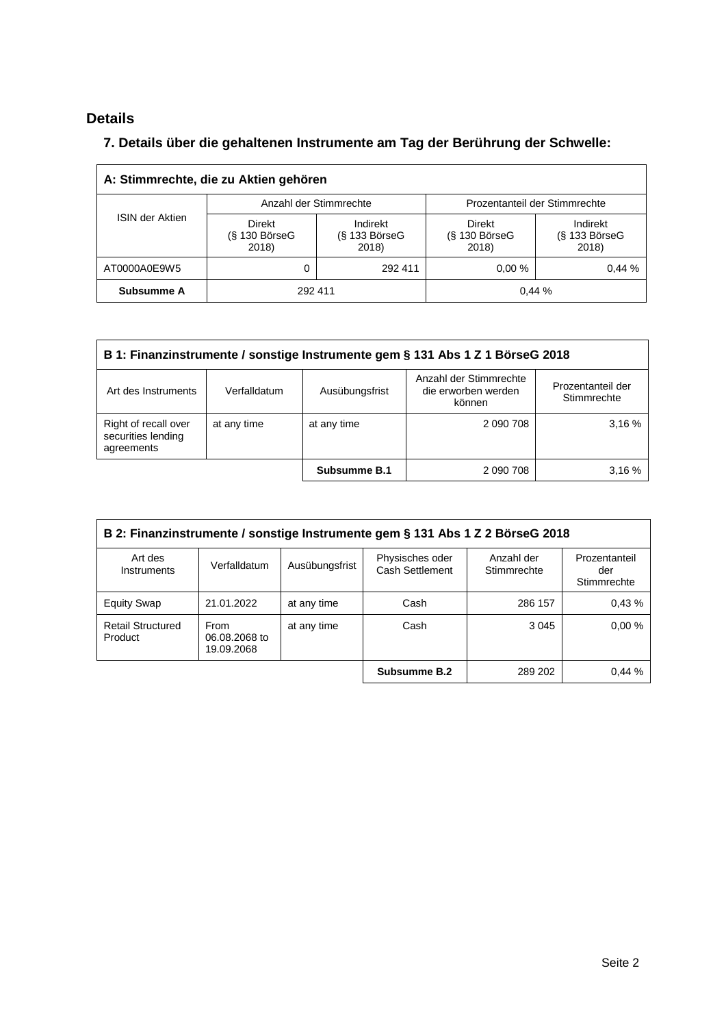# **Details**

 $\overline{\Gamma}$ 

## **7. Details über die gehaltenen Instrumente am Tag der Berührung der Schwelle:**

| A: Stimmrechte, die zu Aktien gehören |                                           |                                      |                                       |                                      |  |  |
|---------------------------------------|-------------------------------------------|--------------------------------------|---------------------------------------|--------------------------------------|--|--|
| <b>ISIN der Aktien</b>                |                                           | Anzahl der Stimmrechte               | Prozentanteil der Stimmrechte         |                                      |  |  |
|                                       | <b>Direkt</b><br>$(S$ 130 BörseG<br>2018) | Indirekt<br>$(S$ 133 BörseG<br>2018) | Direkt<br>$(S$ 130 Börse $G$<br>2018) | Indirekt<br>$(S$ 133 BörseG<br>2018) |  |  |
| AT0000A0E9W5                          | 0                                         | 292 411                              | 0.00%                                 | 0.44%                                |  |  |
| Subsumme A                            |                                           | 292 411                              | 0,44%                                 |                                      |  |  |

| B 1: Finanzinstrumente / sonstige Instrumente gem § 131 Abs 1 Z 1 BörseG 2018 |              |                |                                                         |                                  |  |
|-------------------------------------------------------------------------------|--------------|----------------|---------------------------------------------------------|----------------------------------|--|
| Art des Instruments                                                           | Verfalldatum | Ausübungsfrist | Anzahl der Stimmrechte<br>die erworben werden<br>können | Prozentanteil der<br>Stimmrechte |  |
| Right of recall over<br>securities lending<br>agreements                      | at any time  | at any time    | 2 090 708                                               | 3,16%                            |  |
|                                                                               |              | Subsumme B.1   | 2 090 708                                               | 3.16%                            |  |

| B 2: Finanzinstrumente / sonstige Instrumente gem § 131 Abs 1 Z 2 BörseG 2018 |                                     |                |                                    |                           |                                     |  |
|-------------------------------------------------------------------------------|-------------------------------------|----------------|------------------------------------|---------------------------|-------------------------------------|--|
| Art des<br>Instruments                                                        | Verfalldatum                        | Ausübungsfrist | Physisches oder<br>Cash Settlement | Anzahl der<br>Stimmrechte | Prozentanteil<br>der<br>Stimmrechte |  |
| <b>Equity Swap</b>                                                            | 21.01.2022                          | at any time    | Cash                               | 286 157                   | 0.43%                               |  |
| <b>Retail Structured</b><br>Product                                           | From<br>06.08.2068 to<br>19.09.2068 | at any time    | Cash                               | 3 0 4 5                   | 0.00%                               |  |
|                                                                               |                                     |                | Subsumme B.2                       | 289 202                   | 0.44%                               |  |

 $\overline{\phantom{a}}$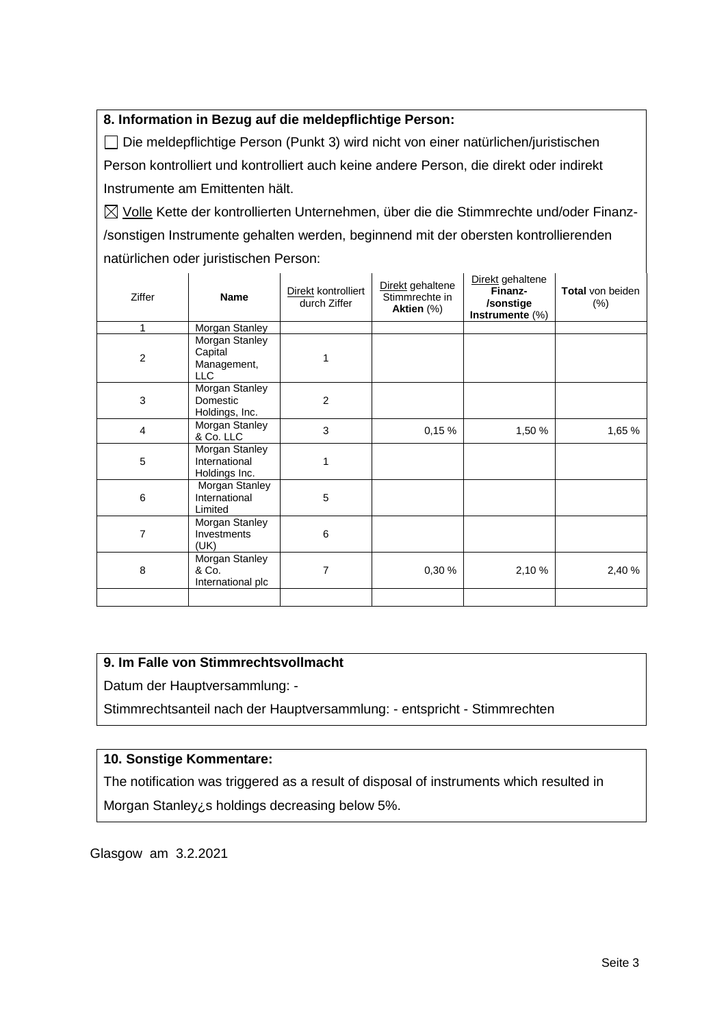### **8. Information in Bezug auf die meldepflichtige Person:**

Die meldepflichtige Person (Punkt 3) wird nicht von einer natürlichen/juristischen Person kontrolliert und kontrolliert auch keine andere Person, die direkt oder indirekt Instrumente am Emittenten hält.

 $\boxtimes$  Volle Kette der kontrollierten Unternehmen, über die die Stimmrechte und/oder Finanz-/sonstigen Instrumente gehalten werden, beginnend mit der obersten kontrollierenden natürlichen oder juristischen Person:

| <b>Ziffer</b>  | <b>Name</b>                                            | Direkt kontrolliert<br>durch Ziffer | Direkt gehaltene<br>Stimmrechte in<br>Aktien (%) | Direkt gehaltene<br>Finanz-<br>/sonstige<br>Instrumente (%) | <b>Total von beiden</b><br>$(\%)$ |
|----------------|--------------------------------------------------------|-------------------------------------|--------------------------------------------------|-------------------------------------------------------------|-----------------------------------|
| 1              | Morgan Stanley                                         |                                     |                                                  |                                                             |                                   |
| $\overline{2}$ | Morgan Stanley<br>Capital<br>Management,<br><b>LLC</b> |                                     |                                                  |                                                             |                                   |
| 3              | Morgan Stanley<br>Domestic<br>Holdings, Inc.           | 2                                   |                                                  |                                                             |                                   |
| 4              | Morgan Stanley<br>& Co. LLC                            | 3                                   | 0,15%                                            | 1,50 %                                                      | 1,65 %                            |
| 5              | Morgan Stanley<br>International<br>Holdings Inc.       | 1                                   |                                                  |                                                             |                                   |
| 6              | Morgan Stanley<br>International<br>Limited             | 5                                   |                                                  |                                                             |                                   |
| 7              | Morgan Stanley<br>Investments<br>(UK)                  | 6                                   |                                                  |                                                             |                                   |
| 8              | Morgan Stanley<br>& Co.<br>International plc           | 7                                   | 0,30%                                            | 2,10%                                                       | 2,40 %                            |
|                |                                                        |                                     |                                                  |                                                             |                                   |

### **9. Im Falle von Stimmrechtsvollmacht**

Datum der Hauptversammlung: -

Stimmrechtsanteil nach der Hauptversammlung: - entspricht - Stimmrechten

### **10. Sonstige Kommentare:**

The notification was triggered as a result of disposal of instruments which resulted in Morgan Stanley¿s holdings decreasing below 5%.

Glasgow am 3.2.2021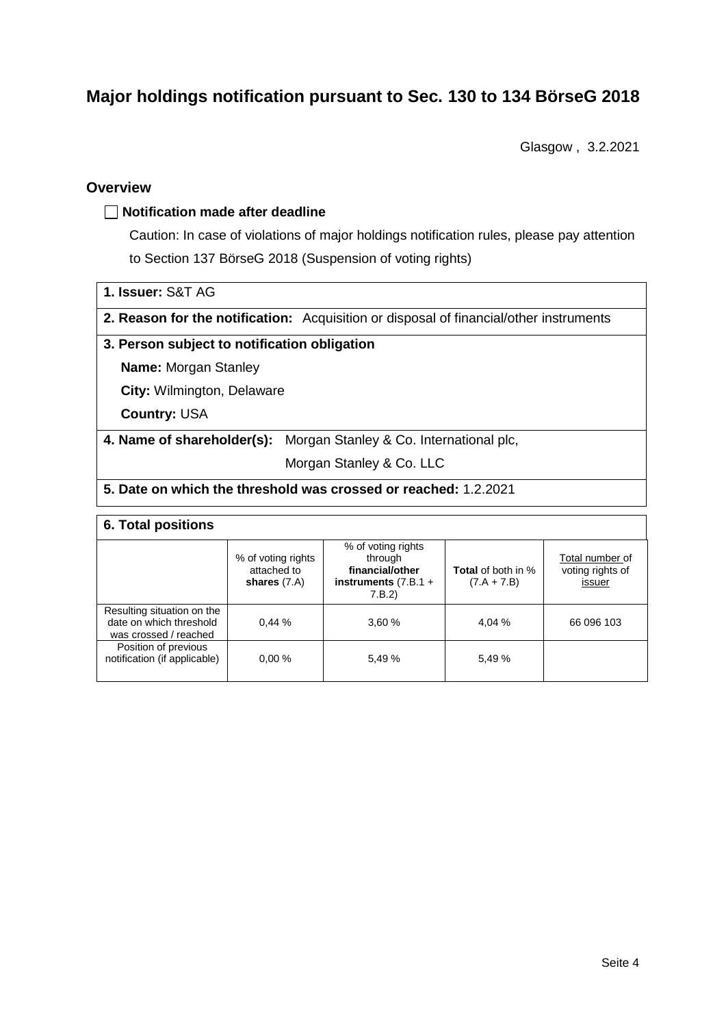# **Major holdings notification pursuant to Sec. 130 to 134 BörseG 2018**

Glasgow , 3.2.2021

### **Overview**

#### **Notification made after deadline**

Caution: In case of violations of major holdings notification rules, please pay attention to Section 137 BörseG 2018 (Suspension of voting rights)

|  |  | 1. Issuer: S&T AG |  |  |
|--|--|-------------------|--|--|
|--|--|-------------------|--|--|

**2. Reason for the notification:** Acquisition or disposal of financial/other instruments

#### **3. Person subject to notification obligation**

**Name:** Morgan Stanley

**City:** Wilmington, Delaware

**Country:** USA

**4. Name of shareholder(s):** Morgan Stanley & Co. International plc,

Morgan Stanley & Co. LLC

### **5. Date on which the threshold was crossed or reached:** 1.2.2021

#### **6. Total positions**

|                                                                                | % of voting rights<br>attached to<br>shares $(7.A)$ | % of voting rights<br>through<br>financial/other<br>instruments $(7.B.1 +$<br>7.B.2 | <b>Total</b> of both in %<br>$(7.A + 7.B)$ | Total number of<br>voting rights of<br>issuer |
|--------------------------------------------------------------------------------|-----------------------------------------------------|-------------------------------------------------------------------------------------|--------------------------------------------|-----------------------------------------------|
| Resulting situation on the<br>date on which threshold<br>was crossed / reached | 0.44%                                               | 3.60%                                                                               | 4.04 %                                     | 66 096 103                                    |
| Position of previous<br>notification (if applicable)                           | 0.00%                                               | 5.49 %                                                                              | 5.49 %                                     |                                               |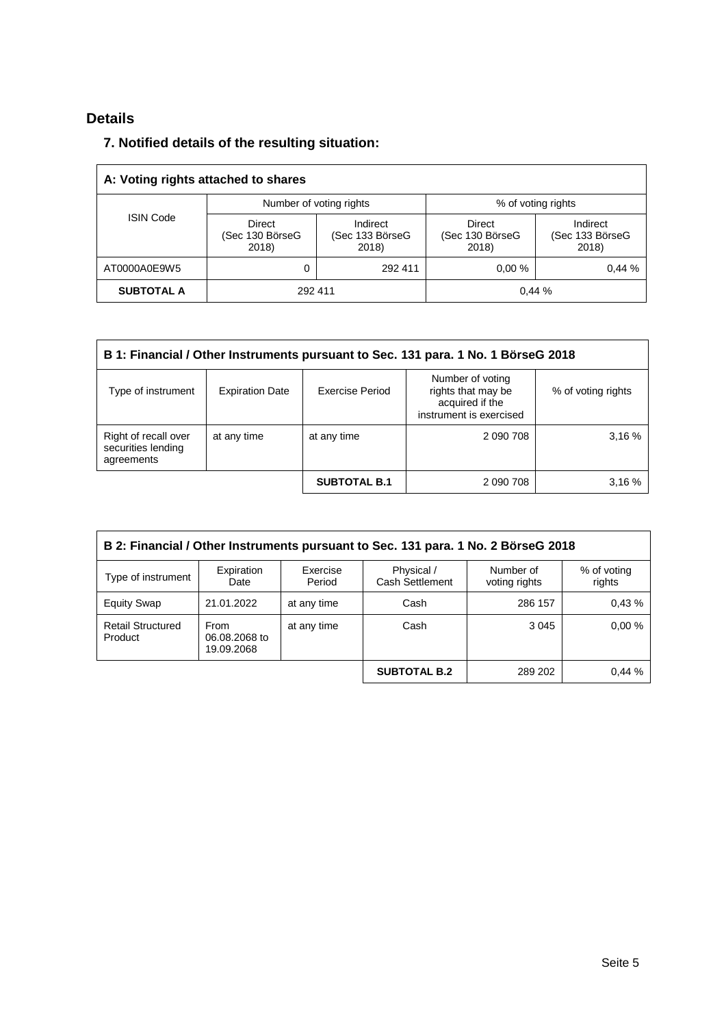# **Details**

## **7. Notified details of the resulting situation:**

| A: Voting rights attached to shares |                                           |                                      |                                    |                                      |  |  |
|-------------------------------------|-------------------------------------------|--------------------------------------|------------------------------------|--------------------------------------|--|--|
|                                     | Number of voting rights                   |                                      | % of voting rights                 |                                      |  |  |
| <b>ISIN Code</b>                    | <b>Direct</b><br>(Sec 130 BörseG<br>2018) | Indirect<br>(Sec 133 BörseG<br>2018) | Direct<br>(Sec 130 BörseG<br>2018) | Indirect<br>(Sec 133 BörseG<br>2018) |  |  |
| AT0000A0E9W5                        | 0                                         | 292 411                              | 0.00%                              | 0.44%                                |  |  |
| <b>SUBTOTAL A</b>                   | 292 411                                   |                                      |                                    | 0,44%                                |  |  |

| B 1: Financial / Other Instruments pursuant to Sec. 131 para. 1 No. 1 BörseG 2018 |                        |                        |                                                                                      |                    |  |  |
|-----------------------------------------------------------------------------------|------------------------|------------------------|--------------------------------------------------------------------------------------|--------------------|--|--|
| Type of instrument                                                                | <b>Expiration Date</b> | <b>Exercise Period</b> | Number of voting<br>rights that may be<br>acquired if the<br>instrument is exercised | % of voting rights |  |  |
| Right of recall over<br>securities lending<br>agreements                          | at any time            | at any time            | 2 090 708                                                                            | 3.16%              |  |  |
|                                                                                   |                        | <b>SUBTOTAL B.1</b>    | 2 090 708                                                                            | 3,16%              |  |  |

| B 2: Financial / Other Instruments pursuant to Sec. 131 para. 1 No. 2 BörseG 2018 |                                            |                    |                               |                            |                       |  |
|-----------------------------------------------------------------------------------|--------------------------------------------|--------------------|-------------------------------|----------------------------|-----------------------|--|
| Type of instrument                                                                | Expiration<br>Date                         | Exercise<br>Period | Physical /<br>Cash Settlement | Number of<br>voting rights | % of voting<br>rights |  |
| <b>Equity Swap</b>                                                                | 21.01.2022                                 | at any time        | Cash                          | 286 157                    | 0.43%                 |  |
| <b>Retail Structured</b><br>Product                                               | <b>From</b><br>06.08.2068 to<br>19.09.2068 | at any time        | Cash                          | 3 0 4 5                    | 0.00%                 |  |
|                                                                                   |                                            |                    | <b>SUBTOTAL B.2</b>           | 289 202                    | 0.44%                 |  |